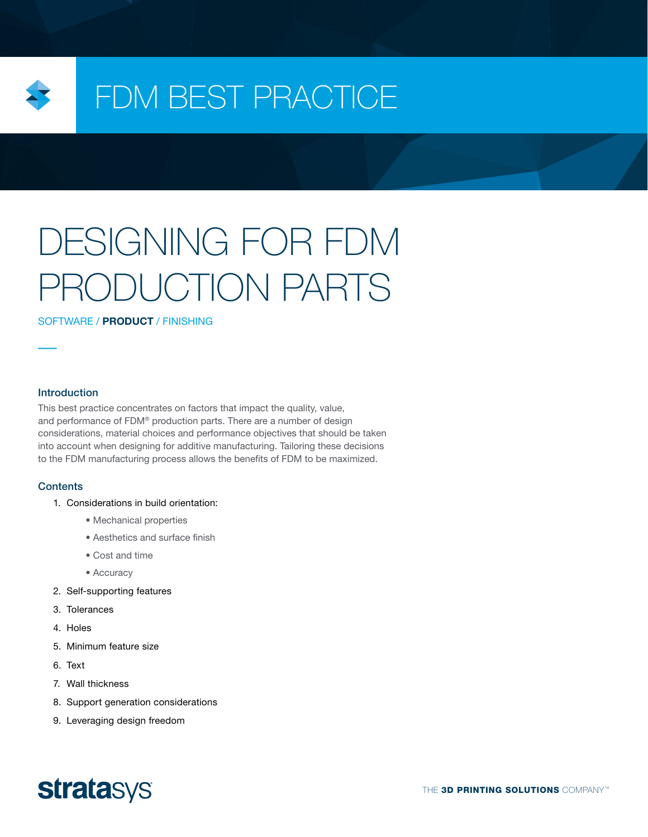

# FDM BEST PRACTICE

# DESIGNING FOR FDM PRODUCTION PARTS

SOFTWARE / PRODUCT / FINISHING

# Introduction

This best practice concentrates on factors that impact the quality, value, and performance of FDM® production parts. There are a number of design considerations, material choices and performance objectives that should be taken into account when designing for additive manufacturing. Tailoring these decisions to the FDM manufacturing process allows the benefits of FDM to be maximized.

#### **Contents**

- 1. Considerations in build orientation:
	- Mechanical properties
	- Aesthetics and surface finish
	- Cost and time
	- Accuracy
- 2. Self-supporting features
- 3. Tolerances
- 4. Holes
- 5. Minimum feature size
- 6. Text
- 7. Wall thickness
- 8. Support generation considerations
- 9. Leveraging design freedom

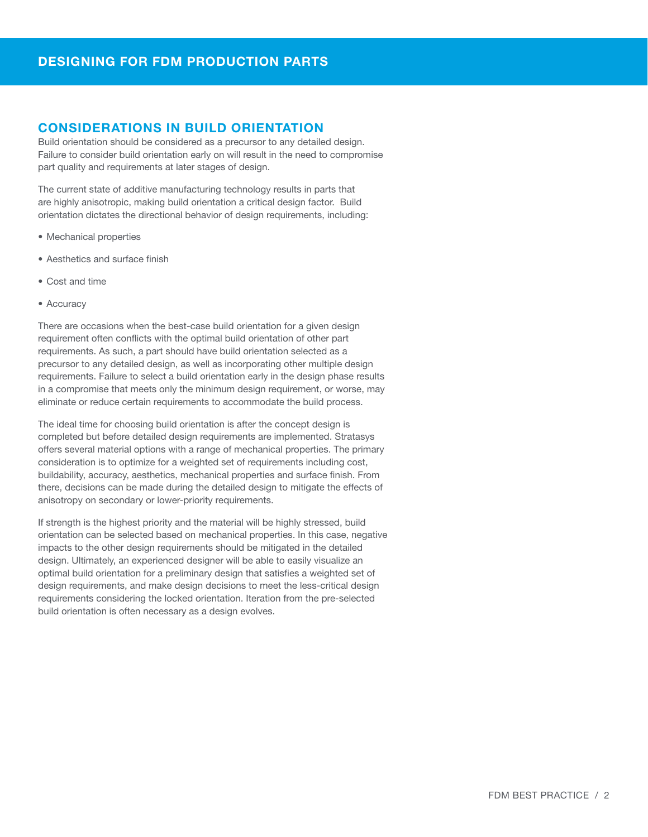# CONSIDERATIONS IN BUILD ORIENTATION

Build orientation should be considered as a precursor to any detailed design. Failure to consider build orientation early on will result in the need to compromise part quality and requirements at later stages of design.

The current state of additive manufacturing technology results in parts that are highly anisotropic, making build orientation a critical design factor. Build orientation dictates the directional behavior of design requirements, including:

- Mechanical properties
- Aesthetics and surface finish
- Cost and time
- Accuracy

There are occasions when the best-case build orientation for a given design requirement often conflicts with the optimal build orientation of other part requirements. As such, a part should have build orientation selected as a precursor to any detailed design, as well as incorporating other multiple design requirements. Failure to select a build orientation early in the design phase results in a compromise that meets only the minimum design requirement, or worse, may eliminate or reduce certain requirements to accommodate the build process.

The ideal time for choosing build orientation is after the concept design is completed but before detailed design requirements are implemented. Stratasys offers several material options with a range of mechanical properties. The primary consideration is to optimize for a weighted set of requirements including cost, buildability, accuracy, aesthetics, mechanical properties and surface finish. From there, decisions can be made during the detailed design to mitigate the effects of anisotropy on secondary or lower-priority requirements.

If strength is the highest priority and the material will be highly stressed, build orientation can be selected based on mechanical properties. In this case, negative impacts to the other design requirements should be mitigated in the detailed design. Ultimately, an experienced designer will be able to easily visualize an optimal build orientation for a preliminary design that satisfies a weighted set of design requirements, and make design decisions to meet the less-critical design requirements considering the locked orientation. Iteration from the pre-selected build orientation is often necessary as a design evolves.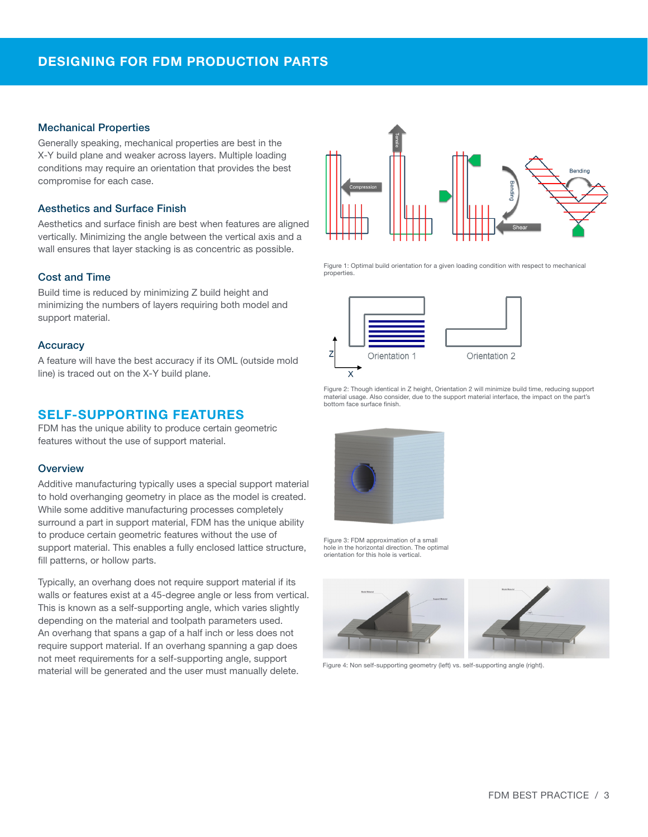# Mechanical Properties

Generally speaking, mechanical properties are best in the X-Y build plane and weaker across layers. Multiple loading conditions may require an orientation that provides the best compromise for each case.

# Aesthetics and Surface Finish

Aesthetics and surface finish are best when features are aligned vertically. Minimizing the angle between the vertical axis and a wall ensures that layer stacking is as concentric as possible.

#### Cost and Time

Build time is reduced by minimizing Z build height and minimizing the numbers of layers requiring both model and support material.

#### **Accuracy**

A feature will have the best accuracy if its OML (outside mold line) is traced out on the X-Y build plane.

# SELF-SUPPORTING FEATURES

FDM has the unique ability to produce certain geometric features without the use of support material.

#### **Overview**

Additive manufacturing typically uses a special support material to hold overhanging geometry in place as the model is created. While some additive manufacturing processes completely surround a part in support material, FDM has the unique ability to produce certain geometric features without the use of support material. This enables a fully enclosed lattice structure, fill patterns, or hollow parts.

Typically, an overhang does not require support material if its walls or features exist at a 45-degree angle or less from vertical. This is known as a self-supporting angle, which varies slightly depending on the material and toolpath parameters used. An overhang that spans a gap of a half inch or less does not require support material. If an overhang spanning a gap does not meet requirements for a self-supporting angle, support material will be generated and the user must manually delete.



Figure 1: Optimal build orientation for a given loading condition with respect to mechanical properties.



Figure 2: Though identical in Z height, Orientation 2 will minimize build time, reducing support material usage. Also consider, due to the support material interface, the impact on the part's bottom face surface finish.



Figure 3: FDM approximation of a small hole in the horizontal direction. The optimal orientation for this hole is vertical.



Figure 4: Non self-supporting geometry (left) vs. self-supporting angle (right).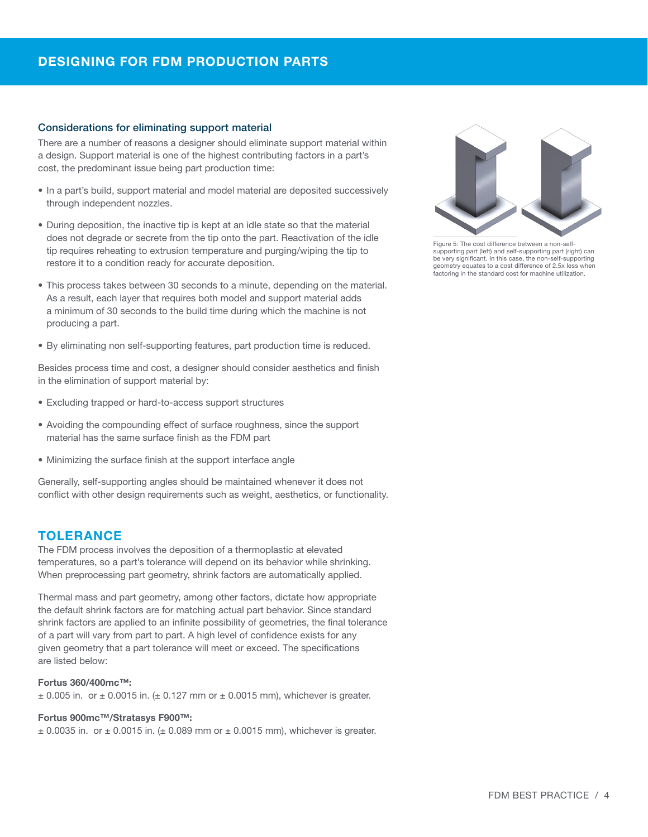# DESIGNING FOR FDM PRODUCTION PARTS

#### Considerations for eliminating support material

There are a number of reasons a designer should eliminate support material within a design. Support material is one of the highest contributing factors in a part's cost, the predominant issue being part production time:

- In a part's build, support material and model material are deposited successively through independent nozzles.
- During deposition, the inactive tip is kept at an idle state so that the material does not degrade or secrete from the tip onto the part. Reactivation of the idle tip requires reheating to extrusion temperature and purging/wiping the tip to restore it to a condition ready for accurate deposition.
- This process takes between 30 seconds to a minute, depending on the material. As a result, each layer that requires both model and support material adds a minimum of 30 seconds to the build time during which the machine is not producing a part.
- By eliminating non self-supporting features, part production time is reduced.

Besides process time and cost, a designer should consider aesthetics and finish in the elimination of support material by:

- Excluding trapped or hard-to-access support structures
- Avoiding the compounding effect of surface roughness, since the support material has the same surface finish as the FDM part
- Minimizing the surface finish at the support interface angle

Generally, self-supporting angles should be maintained whenever it does not conflict with other design requirements such as weight, aesthetics, or functionality.

# TOLERANCE

The FDM process involves the deposition of a thermoplastic at elevated temperatures, so a part's tolerance will depend on its behavior while shrinking. When preprocessing part geometry, shrink factors are automatically applied.

Thermal mass and part geometry, among other factors, dictate how appropriate the default shrink factors are for matching actual part behavior. Since standard shrink factors are applied to an infinite possibility of geometries, the final tolerance of a part will vary from part to part. A high level of confidence exists for any given geometry that a part tolerance will meet or exceed. The specifications are listed below:

#### Fortus 360/400mc™:

 $\pm$  0.005 in. or  $\pm$  0.0015 in. ( $\pm$  0.127 mm or  $\pm$  0.0015 mm), whichever is greater.

#### Fortus 900mc™/Stratasys F900™:

 $\pm$  0.0035 in. or  $\pm$  0.0015 in. ( $\pm$  0.089 mm or  $\pm$  0.0015 mm), whichever is greater.



Figure 5: The cost difference between a non-selfsupporting part (left) and self-supporting part (right) can be very significant. In this case, the non-self-supporting geometry equates to a cost difference of 2.5x less when factoring in the standard cost for machine utilization.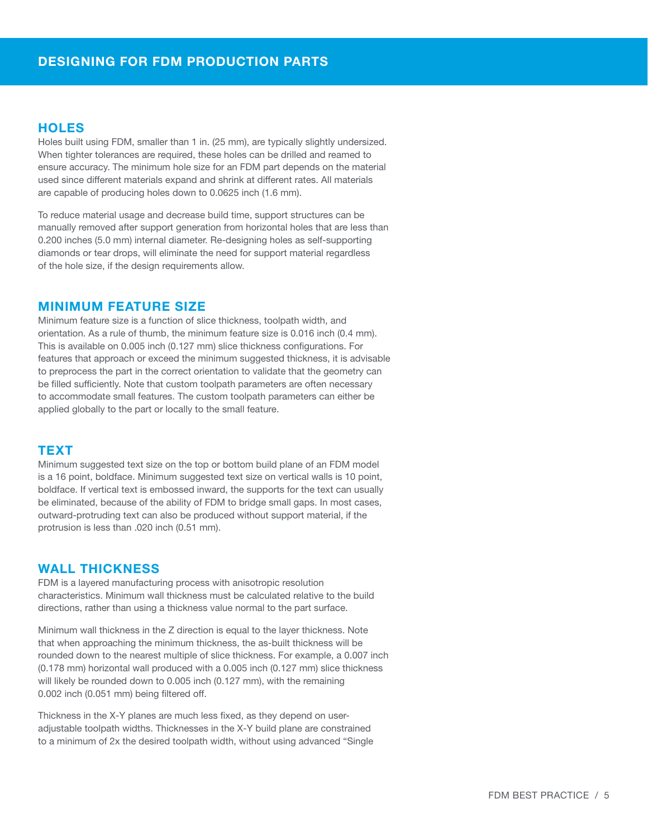# **HOLES**

Holes built using FDM, smaller than 1 in. (25 mm), are typically slightly undersized. When tighter tolerances are required, these holes can be drilled and reamed to ensure accuracy. The minimum hole size for an FDM part depends on the material used since different materials expand and shrink at different rates. All materials are capable of producing holes down to 0.0625 inch (1.6 mm).

To reduce material usage and decrease build time, support structures can be manually removed after support generation from horizontal holes that are less than 0.200 inches (5.0 mm) internal diameter. Re-designing holes as self-supporting diamonds or tear drops, will eliminate the need for support material regardless of the hole size, if the design requirements allow.

# MINIMUM FEATURE SIZE

Minimum feature size is a function of slice thickness, toolpath width, and orientation. As a rule of thumb, the minimum feature size is 0.016 inch (0.4 mm). This is available on 0.005 inch (0.127 mm) slice thickness configurations. For features that approach or exceed the minimum suggested thickness, it is advisable to preprocess the part in the correct orientation to validate that the geometry can be filled sufficiently. Note that custom toolpath parameters are often necessary to accommodate small features. The custom toolpath parameters can either be applied globally to the part or locally to the small feature.

# **TEXT**

Minimum suggested text size on the top or bottom build plane of an FDM model is a 16 point, boldface. Minimum suggested text size on vertical walls is 10 point, boldface. If vertical text is embossed inward, the supports for the text can usually be eliminated, because of the ability of FDM to bridge small gaps. In most cases, outward-protruding text can also be produced without support material, if the protrusion is less than .020 inch (0.51 mm).

# WALL THICKNESS

FDM is a layered manufacturing process with anisotropic resolution characteristics. Minimum wall thickness must be calculated relative to the build directions, rather than using a thickness value normal to the part surface.

Minimum wall thickness in the Z direction is equal to the layer thickness. Note that when approaching the minimum thickness, the as-built thickness will be rounded down to the nearest multiple of slice thickness. For example, a 0.007 inch (0.178 mm) horizontal wall produced with a 0.005 inch (0.127 mm) slice thickness will likely be rounded down to 0.005 inch (0.127 mm), with the remaining 0.002 inch (0.051 mm) being filtered off.

Thickness in the X-Y planes are much less fixed, as they depend on useradjustable toolpath widths. Thicknesses in the X-Y build plane are constrained to a minimum of 2x the desired toolpath width, without using advanced "Single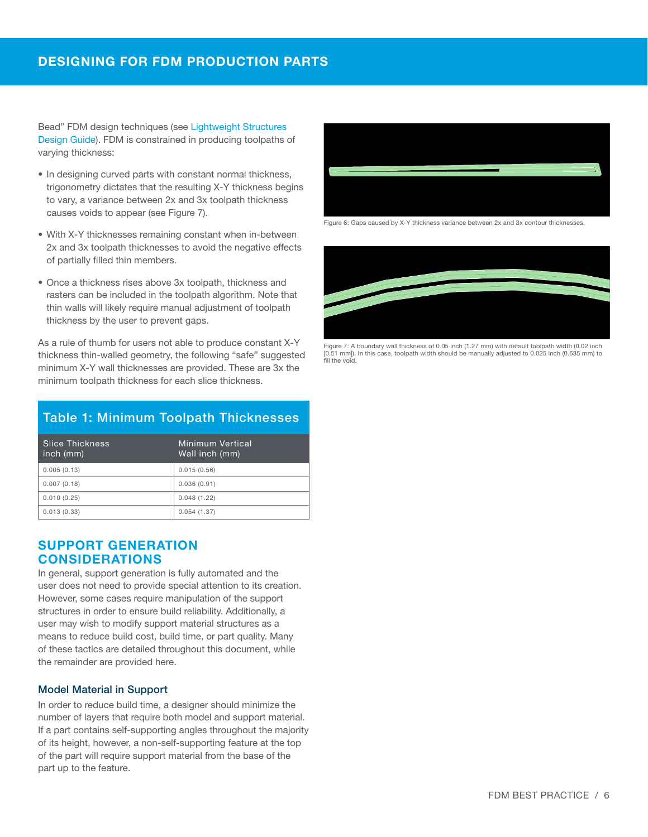Bead" FDM design techniques (see [Lightweight Structures](http://usglobalimages.stratasys.com/Main/Secure/Design%20Guides/DesignGuide_FDM_Lightweight_Structures.pdf?v=636094590743546734)  [Design Guide](http://usglobalimages.stratasys.com/Main/Secure/Design%20Guides/DesignGuide_FDM_Lightweight_Structures.pdf?v=636094590743546734)). FDM is constrained in producing toolpaths of varying thickness:

- In designing curved parts with constant normal thickness, trigonometry dictates that the resulting X-Y thickness begins to vary, a variance between 2x and 3x toolpath thickness causes voids to appear (see Figure 7).
- With X-Y thicknesses remaining constant when in-between 2x and 3x toolpath thicknesses to avoid the negative effects of partially filled thin members.
- Once a thickness rises above 3x toolpath, thickness and rasters can be included in the toolpath algorithm. Note that thin walls will likely require manual adjustment of toolpath thickness by the user to prevent gaps.

As a rule of thumb for users not able to produce constant X-Y thickness thin-walled geometry, the following "safe" suggested minimum X-Y wall thicknesses are provided. These are 3x the minimum toolpath thickness for each slice thickness.

# Table 1: Minimum Toolpath Thicknesses

| <b>Slice Thickness</b><br>inch (mm) | Minimum Vertical<br>Wall inch (mm) |
|-------------------------------------|------------------------------------|
| 0.005(0.13)                         | 0.015(0.56)                        |
| 0.007(0.18)                         | 0.036(0.91)                        |
| 0.010(0.25)                         | 0.048(1.22)                        |
| 0.013(0.33)                         | 0.054(1.37)                        |

# SUPPORT GENERATION CONSIDERATIONS

In general, support generation is fully automated and the user does not need to provide special attention to its creation. However, some cases require manipulation of the support structures in order to ensure build reliability. Additionally, a user may wish to modify support material structures as a means to reduce build cost, build time, or part quality. Many of these tactics are detailed throughout this document, while the remainder are provided here.

# Model Material in Support

In order to reduce build time, a designer should minimize the number of layers that require both model and support material. If a part contains self-supporting angles throughout the majority of its height, however, a non-self-supporting feature at the top of the part will require support material from the base of the part up to the feature.



Figure 6: Gaps caused by X-Y thickness variance between 2x and 3x contour thicknesses.



Figure 7: A boundary wall thickness of 0.05 inch (1.27 mm) with default toolpath width (0.02 inch [0.51 mm]). In this case, toolpath width should be manually adjusted to 0.025 inch (0.635 mm) to fill the void.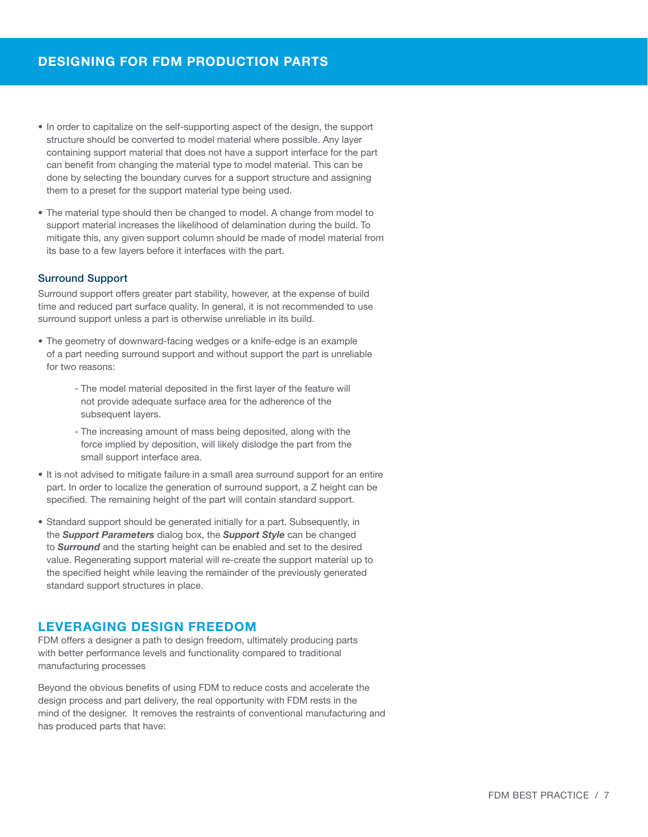- In order to capitalize on the self-supporting aspect of the design, the support structure should be converted to model material where possible. Any layer containing support material that does not have a support interface for the part can benefit from changing the material type to model material. This can be done by selecting the boundary curves for a support structure and assigning them to a preset for the support material type being used.
- The material type should then be changed to model. A change from model to support material increases the likelihood of delamination during the build. To mitigate this, any given support column should be made of model material from its base to a few layers before it interfaces with the part.

#### Surround Support

Surround support offers greater part stability, however, at the expense of build time and reduced part surface quality. In general, it is not recommended to use surround support unless a part is otherwise unreliable in its build.

- The geometry of downward-facing wedges or a knife-edge is an example of a part needing surround support and without support the part is unreliable for two reasons:
	- The model material deposited in the first layer of the feature will not provide adequate surface area for the adherence of the subsequent layers.
	- The increasing amount of mass being deposited, along with the force implied by deposition, will likely dislodge the part from the small support interface area.
- It is not advised to mitigate failure in a small area surround support for an entire part. In order to localize the generation of surround support, a Z height can be specified. The remaining height of the part will contain standard support.
- Standard support should be generated initially for a part. Subsequently, in the *Support Parameters* dialog box, the *Support Style* can be changed to *Surround* and the starting height can be enabled and set to the desired value. Regenerating support material will re-create the support material up to the specified height while leaving the remainder of the previously generated standard support structures in place.

# LEVERAGING DESIGN FREEDOM

FDM offers a designer a path to design freedom, ultimately producing parts with better performance levels and functionality compared to traditional manufacturing processes

Beyond the obvious benefits of using FDM to reduce costs and accelerate the design process and part delivery, the real opportunity with FDM rests in the mind of the designer. It removes the restraints of conventional manufacturing and has produced parts that have: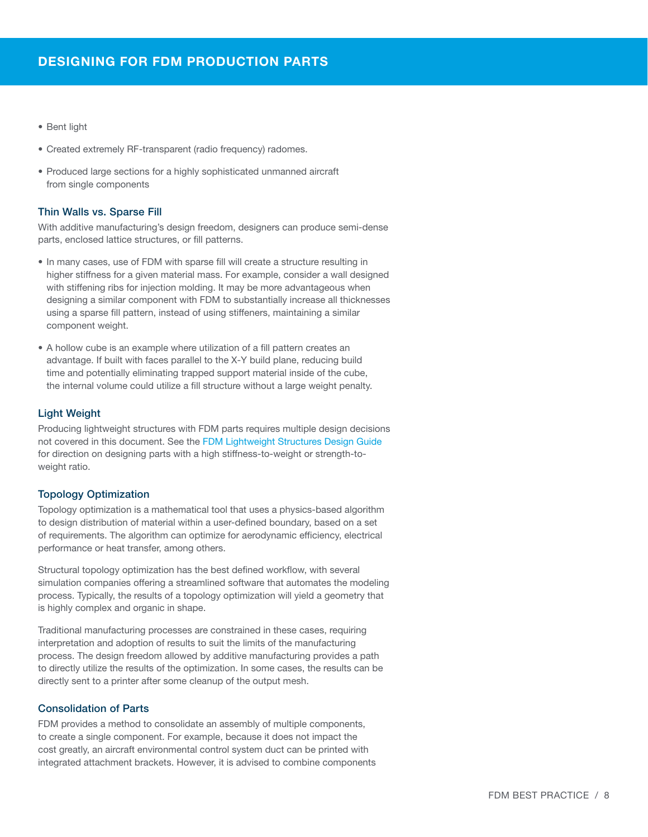- Bent light
- Created extremely RF-transparent (radio frequency) radomes.
- Produced large sections for a highly sophisticated unmanned aircraft from single components

#### Thin Walls vs. Sparse Fill

With additive manufacturing's design freedom, designers can produce semi-dense parts, enclosed lattice structures, or fill patterns.

- In many cases, use of FDM with sparse fill will create a structure resulting in higher stiffness for a given material mass. For example, consider a wall designed with stiffening ribs for injection molding. It may be more advantageous when designing a similar component with FDM to substantially increase all thicknesses using a sparse fill pattern, instead of using stiffeners, maintaining a similar component weight.
- A hollow cube is an example where utilization of a fill pattern creates an advantage. If built with faces parallel to the X-Y build plane, reducing build time and potentially eliminating trapped support material inside of the cube, the internal volume could utilize a fill structure without a large weight penalty.

#### Light Weight

Producing lightweight structures with FDM parts requires multiple design decisions not covered in this document. See the [FDM Lightweight Structures Design Guide](http://www.stratasys.com/resources/white-papers/fdm-lightweight-structures) for direction on designing parts with a high stiffness-to-weight or strength-toweight ratio.

#### Topology Optimization

Topology optimization is a mathematical tool that uses a physics-based algorithm to design distribution of material within a user-defined boundary, based on a set of requirements. The algorithm can optimize for aerodynamic efficiency, electrical performance or heat transfer, among others.

Structural topology optimization has the best defined workflow, with several simulation companies offering a streamlined software that automates the modeling process. Typically, the results of a topology optimization will yield a geometry that is highly complex and organic in shape.

Traditional manufacturing processes are constrained in these cases, requiring interpretation and adoption of results to suit the limits of the manufacturing process. The design freedom allowed by additive manufacturing provides a path to directly utilize the results of the optimization. In some cases, the results can be directly sent to a printer after some cleanup of the output mesh.

# Consolidation of Parts

FDM provides a method to consolidate an assembly of multiple components, to create a single component. For example, because it does not impact the cost greatly, an aircraft environmental control system duct can be printed with integrated attachment brackets. However, it is advised to combine components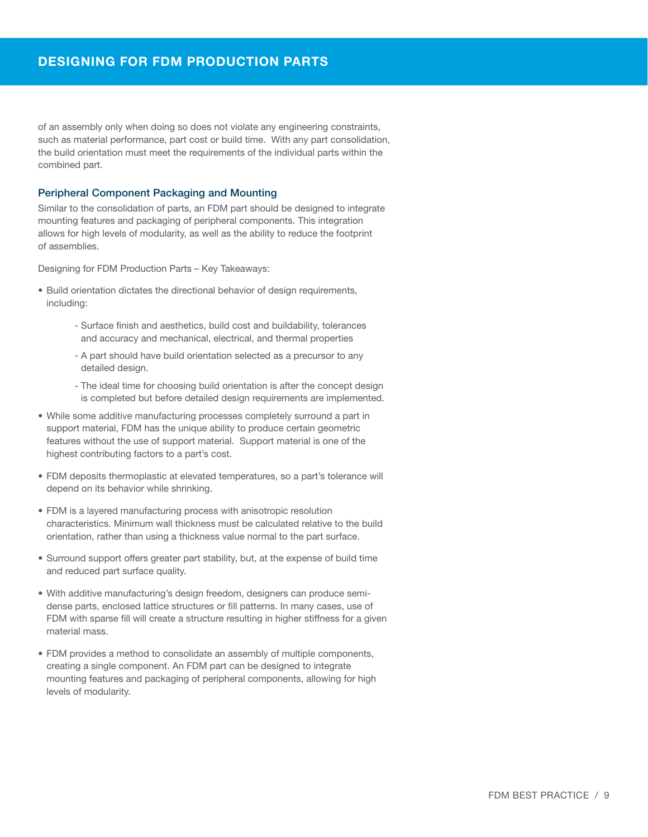of an assembly only when doing so does not violate any engineering constraints, such as material performance, part cost or build time. With any part consolidation, the build orientation must meet the requirements of the individual parts within the combined part.

#### Peripheral Component Packaging and Mounting

Similar to the consolidation of parts, an FDM part should be designed to integrate mounting features and packaging of peripheral components. This integration allows for high levels of modularity, as well as the ability to reduce the footprint of assemblies.

Designing for FDM Production Parts – Key Takeaways:

- Build orientation dictates the directional behavior of design requirements, including:
	- Surface finish and aesthetics, build cost and buildability, tolerances and accuracy and mechanical, electrical, and thermal properties
	- A part should have build orientation selected as a precursor to any detailed design.
	- The ideal time for choosing build orientation is after the concept design is completed but before detailed design requirements are implemented.
- While some additive manufacturing processes completely surround a part in support material, FDM has the unique ability to produce certain geometric features without the use of support material. Support material is one of the highest contributing factors to a part's cost.
- FDM deposits thermoplastic at elevated temperatures, so a part's tolerance will depend on its behavior while shrinking.
- FDM is a layered manufacturing process with anisotropic resolution characteristics. Minimum wall thickness must be calculated relative to the build orientation, rather than using a thickness value normal to the part surface.
- Surround support offers greater part stability, but, at the expense of build time and reduced part surface quality.
- With additive manufacturing's design freedom, designers can produce semidense parts, enclosed lattice structures or fill patterns. In many cases, use of FDM with sparse fill will create a structure resulting in higher stiffness for a given material mass.
- FDM provides a method to consolidate an assembly of multiple components, creating a single component. An FDM part can be designed to integrate mounting features and packaging of peripheral components, allowing for high levels of modularity.